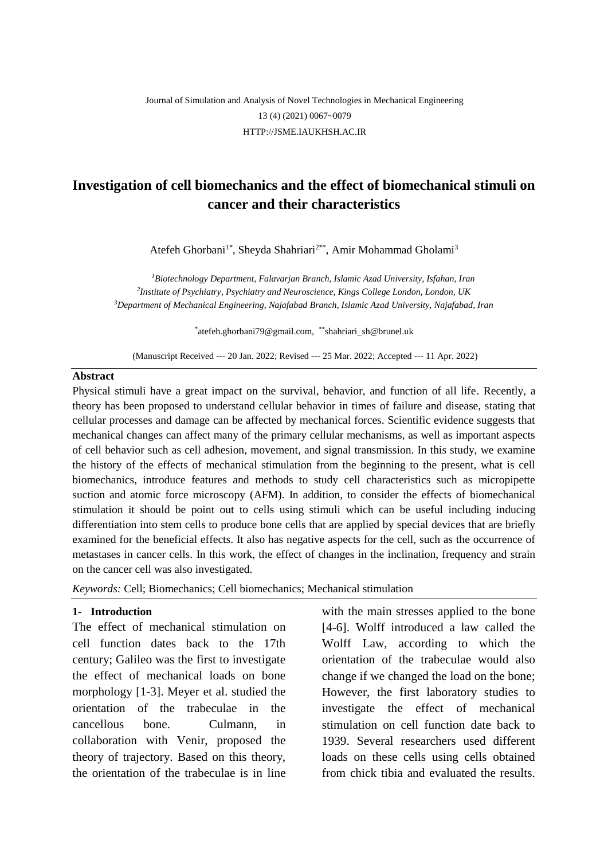# **Investigation of cell biomechanics and the effect of biomechanical stimuli on cancer and their characteristics**

Atefeh Ghorbani<sup>1\*</sup>, Sheyda Shahriari<sup>2\*\*</sup>, Amir Mohammad Gholami<sup>3</sup>

*<sup>1</sup>Biotechnology Department, Falavarjan Branch, Islamic Azad University, Isfahan, Iran 2 Institute of Psychiatry, Psychiatry and Neuroscience, Kings College London, London, UK <sup>3</sup>Department of Mechanical Engineering, Najafabad Branch, Islamic Azad University, Najafabad, Iran*

\* atefeh.ghorbani79@gmail.com, \*\*shahriari\_sh@brunel.uk

(Manuscript Received --- 20 Jan. 2022; Revised --- 25 Mar. 2022; Accepted --- 11 Apr. 2022)

### **Abstract**

Physical stimuli have a great impact on the survival, behavior, and function of all life. Recently, a theory has been proposed to understand cellular behavior in times of failure and disease, stating that cellular processes and damage can be affected by mechanical forces. Scientific evidence suggests that mechanical changes can affect many of the primary cellular mechanisms, as well as important aspects of cell behavior such as cell adhesion, movement, and signal transmission. In this study, we examine the history of the effects of mechanical stimulation from the beginning to the present, what is cell biomechanics, introduce features and methods to study cell characteristics such as micropipette suction and atomic force microscopy (AFM). In addition, to consider the effects of biomechanical stimulation it should be point out to cells using stimuli which can be useful including inducing differentiation into stem cells to produce bone cells that are applied by special devices that are briefly examined for the beneficial effects. It also has negative aspects for the cell, such as the occurrence of metastases in cancer cells. In this work, the effect of changes in the inclination, frequency and strain on the cancer cell was also investigated.

*Keywords:* Cell; Biomechanics; Cell biomechanics; Mechanical stimulation

#### **1- Introduction**

The effect of mechanical stimulation on cell function dates back to the 17th century; Galileo was the first to investigate the effect of mechanical loads on bone morphology [1-3]. Meyer et al. studied the orientation of the trabeculae in the cancellous bone. Culmann, in collaboration with Venir, proposed the theory of trajectory. Based on this theory, the orientation of the trabeculae is in line

with the main stresses applied to the bone [4-6]. Wolff introduced a law called the Wolff Law, according to which the orientation of the trabeculae would also change if we changed the load on the bone; However, the first laboratory studies to investigate the effect of mechanical stimulation on cell function date back to 1939. Several researchers used different loads on these cells using cells obtained from chick tibia and evaluated the results.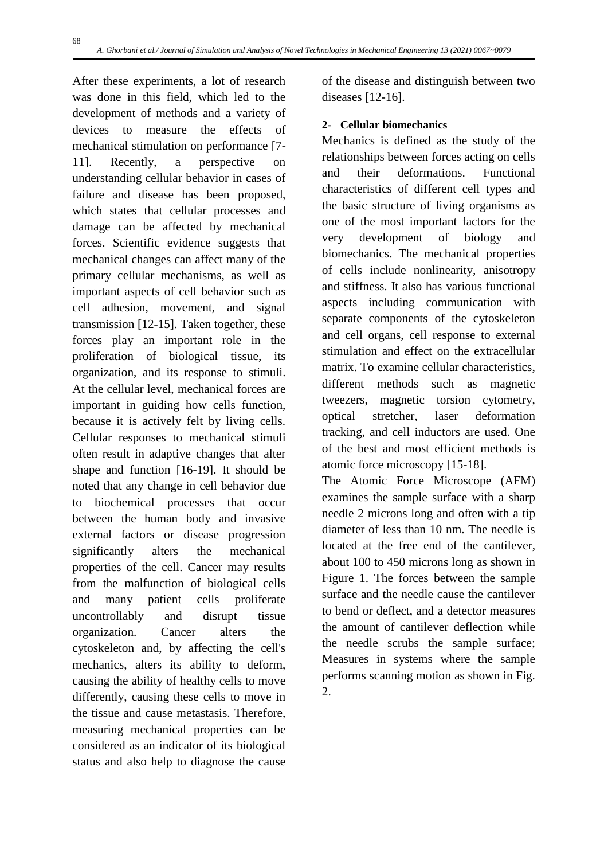After these experiments, a lot of research was done in this field, which led to the development of methods and a variety of devices to measure the effects of mechanical stimulation on performance [7- 11]. Recently, a perspective on understanding cellular behavior in cases of failure and disease has been proposed, which states that cellular processes and damage can be affected by mechanical forces. Scientific evidence suggests that mechanical changes can affect many of the primary cellular mechanisms, as well as important aspects of cell behavior such as cell adhesion, movement, and signal transmission [12-15]. Taken together, these forces play an important role in the proliferation of biological tissue, its organization, and its response to stimuli. At the cellular level, mechanical forces are important in guiding how cells function, because it is actively felt by living cells. Cellular responses to mechanical stimuli often result in adaptive changes that alter shape and function [16-19]. It should be noted that any change in cell behavior due to biochemical processes that occur between the human body and invasive external factors or disease progression significantly alters the mechanical properties of the cell. Cancer may results from the malfunction of biological cells and many patient cells proliferate uncontrollably and disrupt tissue organization. Cancer alters the cytoskeleton and, by affecting the cell's mechanics, alters its ability to deform, causing the ability of healthy cells to move differently, causing these cells to move in the tissue and cause metastasis. Therefore, measuring mechanical properties can be considered as an indicator of its biological status and also help to diagnose the cause

of the disease and distinguish between two diseases [12-16].

#### **2- Cellular biomechanics**

Mechanics is defined as the study of the relationships between forces acting on cells and their deformations. Functional characteristics of different cell types and the basic structure of living organisms as one of the most important factors for the very development of biology and biomechanics. The mechanical properties of cells include nonlinearity, anisotropy and stiffness. It also has various functional aspects including communication with separate components of the cytoskeleton and cell organs, cell response to external stimulation and effect on the extracellular matrix. To examine cellular characteristics, different methods such as magnetic tweezers, magnetic torsion cytometry, optical stretcher, laser deformation tracking, and cell inductors are used. One of the best and most efficient methods is atomic force microscopy [15-18].

The Atomic Force Microscope (AFM) examines the sample surface with a sharp needle 2 microns long and often with a tip diameter of less than 10 nm. The needle is located at the free end of the cantilever, about 100 to 450 microns long as shown in Figure 1. The forces between the sample surface and the needle cause the cantilever to bend or deflect, and a detector measures the amount of cantilever deflection while the needle scrubs the sample surface; Measures in systems where the sample performs scanning motion as shown in Fig. 2.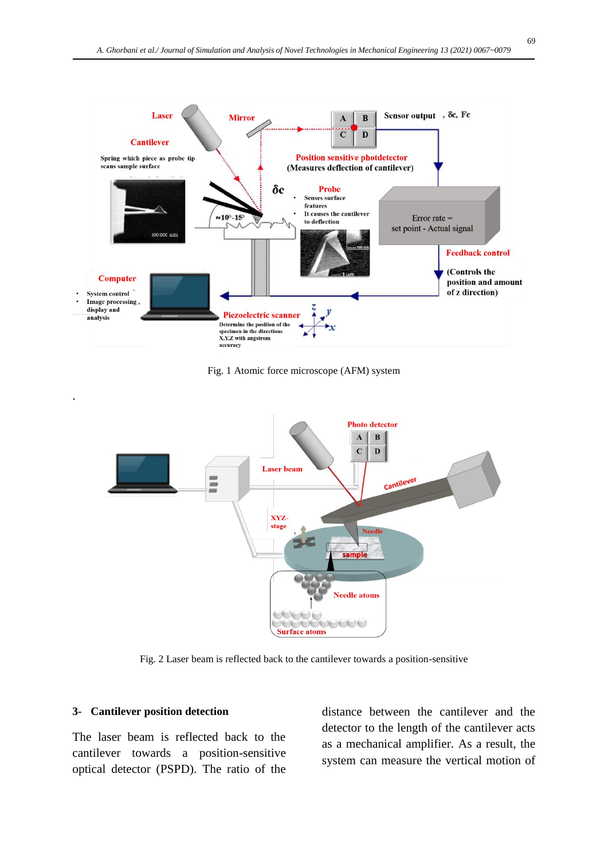

Fig. 1 Atomic force microscope (AFM) system



Fig. 2 Laser beam is reflected back to the cantilever towards a position-sensitive

#### **3- Cantilever position detection**

.

The laser beam is reflected back to the cantilever towards a position-sensitive optical detector (PSPD). The ratio of the distance between the cantilever and the detector to the length of the cantilever acts as a mechanical amplifier. As a result, the system can measure the vertical motion of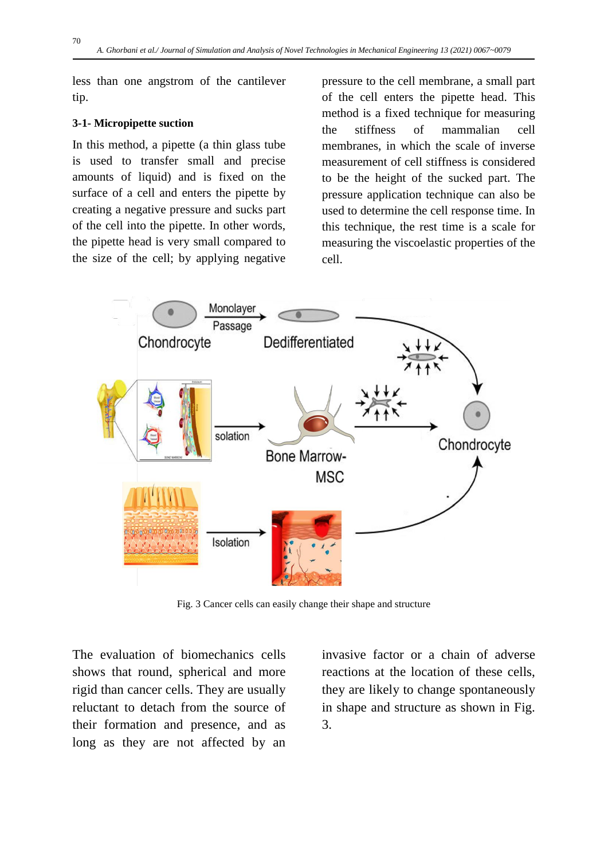less than one angstrom of the cantilever tip.

#### **3-1- Micropipette suction**

In this method, a pipette (a thin glass tube is used to transfer small and precise amounts of liquid) and is fixed on the surface of a cell and enters the pipette by creating a negative pressure and sucks part of the cell into the pipette. In other words, the pipette head is very small compared to the size of the cell; by applying negative

pressure to the cell membrane, a small part of the cell enters the pipette head. This method is a fixed technique for measuring the stiffness of mammalian cell membranes, in which the scale of inverse measurement of cell stiffness is considered to be the height of the sucked part. The pressure application technique can also be used to determine the cell response time. In this technique, the rest time is a scale for measuring the viscoelastic properties of the cell.



Fig. 3 Cancer cells can easily change their shape and structure

The evaluation of biomechanics cells shows that round, spherical and more rigid than cancer cells. They are usually reluctant to detach from the source of their formation and presence, and as long as they are not affected by an

invasive factor or a chain of adverse reactions at the location of these cells, they are likely to change spontaneously in shape and structure as shown in Fig. 3.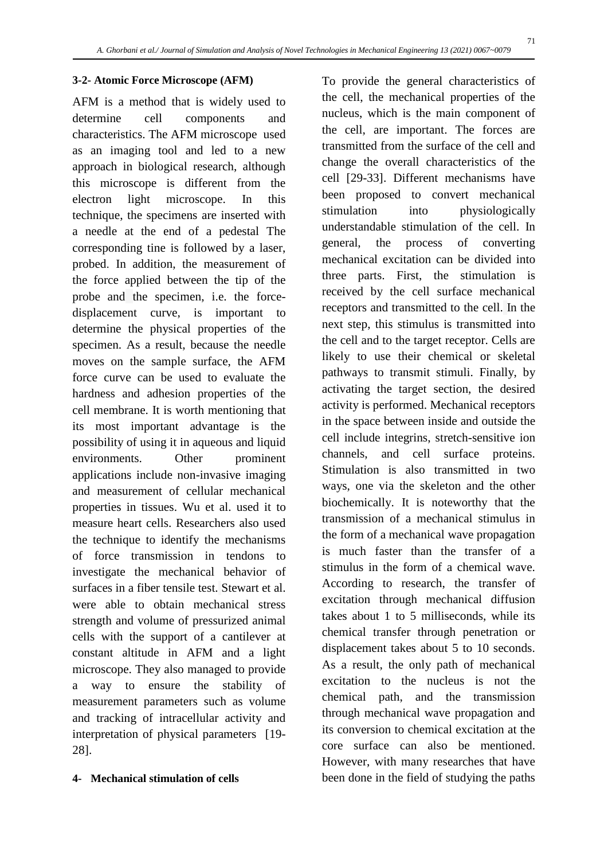### **3-2- Atomic Force Microscope (AFM)**

AFM is a method that is widely used to determine cell components and characteristics. The AFM microscope used as an imaging tool and led to a new approach in biological research, although this microscope is different from the electron light microscope. In this technique, the specimens are inserted with a needle at the end of a pedestal The corresponding tine is followed by a laser, probed. In addition, the measurement of the force applied between the tip of the probe and the specimen, i.e. the forcedisplacement curve, is important to determine the physical properties of the specimen. As a result, because the needle moves on the sample surface, the AFM force curve can be used to evaluate the hardness and adhesion properties of the cell membrane. It is worth mentioning that its most important advantage is the possibility of using it in aqueous and liquid environments. Other prominent applications include non-invasive imaging and measurement of cellular mechanical properties in tissues. Wu et al. used it to measure heart cells. Researchers also used the technique to identify the mechanisms of force transmission in tendons to investigate the mechanical behavior of surfaces in a fiber tensile test. Stewart et al. were able to obtain mechanical stress strength and volume of pressurized animal cells with the support of a cantilever at constant altitude in AFM and a light microscope. They also managed to provide a way to ensure the stability of measurement parameters such as volume and tracking of intracellular activity and interpretation of physical parameters [19- 28].

#### **4- Mechanical stimulation of cells**

To provide the general characteristics of the cell, the mechanical properties of the nucleus, which is the main component of the cell, are important. The forces are transmitted from the surface of the cell and change the overall characteristics of the cell [29-33]. Different mechanisms have been proposed to convert mechanical stimulation into physiologically understandable stimulation of the cell. In general, the process of converting mechanical excitation can be divided into three parts. First, the stimulation is received by the cell surface mechanical receptors and transmitted to the cell. In the next step, this stimulus is transmitted into the cell and to the target receptor. Cells are likely to use their chemical or skeletal pathways to transmit stimuli. Finally, by activating the target section, the desired activity is performed. Mechanical receptors in the space between inside and outside the cell include integrins, stretch-sensitive ion channels, and cell surface proteins. Stimulation is also transmitted in two ways, one via the skeleton and the other biochemically. It is noteworthy that the transmission of a mechanical stimulus in the form of a mechanical wave propagation is much faster than the transfer of a stimulus in the form of a chemical wave. According to research, the transfer of excitation through mechanical diffusion takes about 1 to 5 milliseconds, while its chemical transfer through penetration or displacement takes about 5 to 10 seconds. As a result, the only path of mechanical excitation to the nucleus is not the chemical path, and the transmission through mechanical wave propagation and its conversion to chemical excitation at the core surface can also be mentioned. However, with many researches that have been done in the field of studying the paths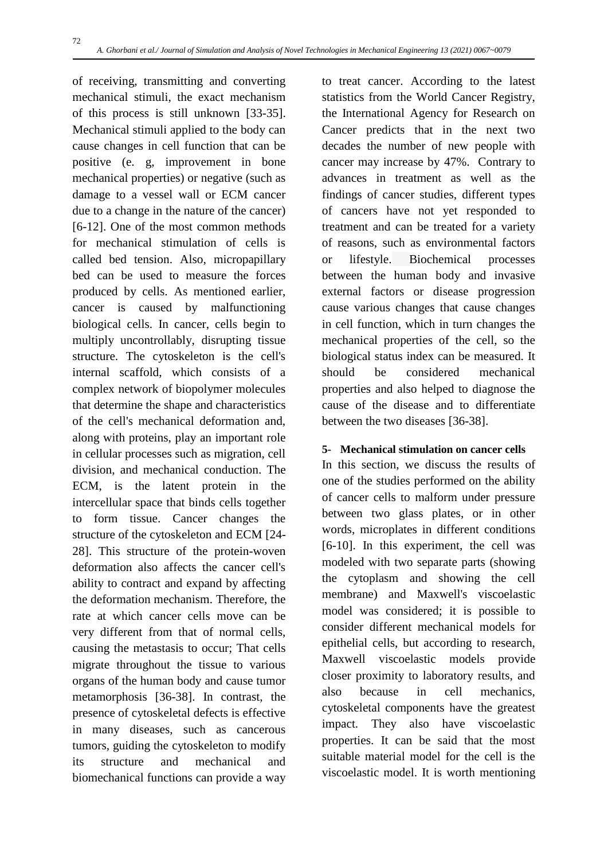of receiving, transmitting and converting mechanical stimuli, the exact mechanism of this process is still unknown [33-35]. Mechanical stimuli applied to the body can cause changes in cell function that can be positive (e. g, improvement in bone mechanical properties) or negative (such as damage to a vessel wall or ECM cancer due to a change in the nature of the cancer) [6-12]. One of the most common methods for mechanical stimulation of cells is called bed tension. Also, micropapillary bed can be used to measure the forces produced by cells. As mentioned earlier, cancer is caused by malfunctioning biological cells. In cancer, cells begin to multiply uncontrollably, disrupting tissue structure. The cytoskeleton is the cell's internal scaffold, which consists of a complex network of biopolymer molecules that determine the shape and characteristics of the cell's mechanical deformation and, along with proteins, play an important role in cellular processes such as migration, cell division, and mechanical conduction. The ECM, is the latent protein in the intercellular space that binds cells together to form tissue. Cancer changes the structure of the cytoskeleton and ECM [24- 28]. This structure of the protein-woven deformation also affects the cancer cell's ability to contract and expand by affecting the deformation mechanism. Therefore, the rate at which cancer cells move can be very different from that of normal cells, causing the metastasis to occur; That cells migrate throughout the tissue to various organs of the human body and cause tumor metamorphosis [36-38]. In contrast, the presence of cytoskeletal defects is effective in many diseases, such as cancerous tumors, guiding the cytoskeleton to modify its structure and mechanical and biomechanical functions can provide a way

to treat cancer. According to the latest statistics from the World Cancer Registry, the International Agency for Research on Cancer predicts that in the next two decades the number of new people with cancer may increase by 47%. Contrary to advances in treatment as well as the findings of cancer studies, different types of cancers have not yet responded to treatment and can be treated for a variety of reasons, such as environmental factors or lifestyle. Biochemical processes between the human body and invasive external factors or disease progression cause various changes that cause changes in cell function, which in turn changes the mechanical properties of the cell, so the biological status index can be measured. It should be considered mechanical properties and also helped to diagnose the cause of the disease and to differentiate between the two diseases [36-38].

#### **5- Mechanical stimulation on cancer cells**

In this section, we discuss the results of one of the studies performed on the ability of cancer cells to malform under pressure between two glass plates, or in other words, microplates in different conditions [6-10]. In this experiment, the cell was modeled with two separate parts (showing the cytoplasm and showing the cell membrane) and Maxwell's viscoelastic model was considered; it is possible to consider different mechanical models for epithelial cells, but according to research, Maxwell viscoelastic models provide closer proximity to laboratory results, and also because in cell mechanics, cytoskeletal components have the greatest impact. They also have viscoelastic properties. It can be said that the most suitable material model for the cell is the viscoelastic model. It is worth mentioning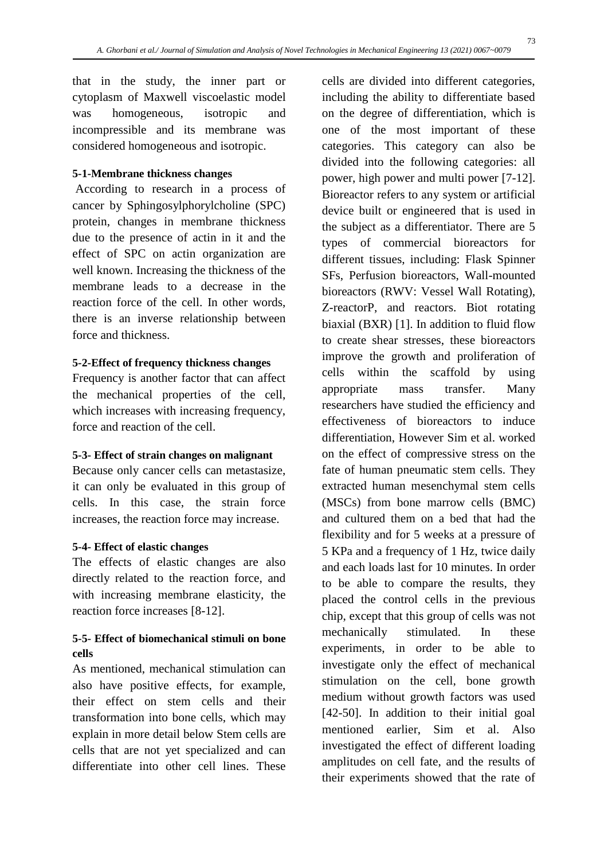that in the study, the inner part or cytoplasm of Maxwell viscoelastic model was homogeneous, isotropic and incompressible and its membrane was considered homogeneous and isotropic.

### **5-1-Membrane thickness changes**

According to research in a process of cancer by Sphingosylphorylcholine (SPC) protein, changes in membrane thickness due to the presence of actin in it and the effect of SPC on actin organization are well known. Increasing the thickness of the membrane leads to a decrease in the reaction force of the cell. In other words, there is an inverse relationship between force and thickness.

## **5-2-Effect of frequency thickness changes**

Frequency is another factor that can affect the mechanical properties of the cell, which increases with increasing frequency, force and reaction of the cell.

# **5-3- Effect of strain changes on malignant**

Because only cancer cells can metastasize, it can only be evaluated in this group of cells. In this case, the strain force increases, the reaction force may increase.

# **5-4- Effect of elastic changes**

The effects of elastic changes are also directly related to the reaction force, and with increasing membrane elasticity, the reaction force increases [8-12].

# **5-5- Effect of biomechanical stimuli on bone cells**

As mentioned, mechanical stimulation can also have positive effects, for example, their effect on stem cells and their transformation into bone cells, which may explain in more detail below Stem cells are cells that are not yet specialized and can differentiate into other cell lines. These cells are divided into different categories, including the ability to differentiate based on the degree of differentiation, which is one of the most important of these categories. This category can also be divided into the following categories: all power, high power and multi power [7-12]. Bioreactor refers to any system or artificial device built or engineered that is used in the subject as a differentiator. There are 5 types of commercial bioreactors for different tissues, including: Flask Spinner SFs, Perfusion bioreactors, Wall-mounted bioreactors (RWV: Vessel Wall Rotating), Z-reactorP, and reactors. Biot rotating biaxial (BXR) [1]. In addition to fluid flow to create shear stresses, these bioreactors improve the growth and proliferation of cells within the scaffold by using appropriate mass transfer. Many researchers have studied the efficiency and effectiveness of bioreactors to induce differentiation, However Sim et al. worked on the effect of compressive stress on the fate of human pneumatic stem cells. They extracted human mesenchymal stem cells (MSCs) from bone marrow cells (BMC) and cultured them on a bed that had the flexibility and for 5 weeks at a pressure of 5 KPa and a frequency of 1 Hz, twice daily and each loads last for 10 minutes. In order to be able to compare the results, they placed the control cells in the previous chip, except that this group of cells was not mechanically stimulated. In these experiments, in order to be able to investigate only the effect of mechanical stimulation on the cell, bone growth medium without growth factors was used [42-50]. In addition to their initial goal mentioned earlier, Sim et al. Also investigated the effect of different loading amplitudes on cell fate, and the results of their experiments showed that the rate of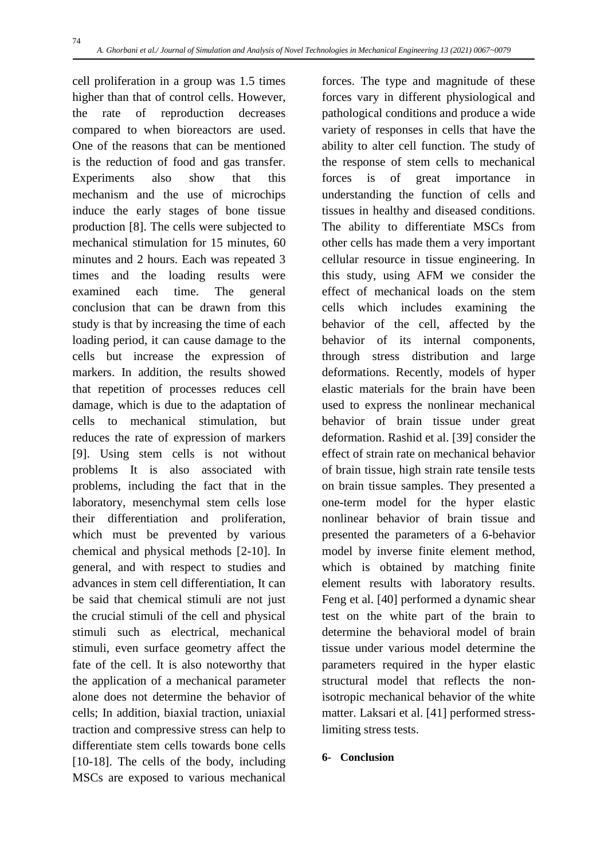cell proliferation in a group was 1.5 times higher than that of control cells. However, the rate of reproduction decreases compared to when bioreactors are used. One of the reasons that can be mentioned is the reduction of food and gas transfer. Experiments also show that this mechanism and the use of microchips induce the early stages of bone tissue production [8]. The cells were subjected to mechanical stimulation for 15 minutes, 60 minutes and 2 hours. Each was repeated 3 times and the loading results were examined each time. The general conclusion that can be drawn from this study is that by increasing the time of each loading period, it can cause damage to the cells but increase the expression of markers. In addition, the results showed that repetition of processes reduces cell damage, which is due to the adaptation of cells to mechanical stimulation, but reduces the rate of expression of markers [9]. Using stem cells is not without problems It is also associated with problems, including the fact that in the laboratory, mesenchymal stem cells lose their differentiation and proliferation, which must be prevented by various chemical and physical methods [2-10]. In general, and with respect to studies and advances in stem cell differentiation, It can be said that chemical stimuli are not just the crucial stimuli of the cell and physical stimuli such as electrical, mechanical stimuli, even surface geometry affect the fate of the cell. It is also noteworthy that the application of a mechanical parameter alone does not determine the behavior of cells; In addition, biaxial traction, uniaxial traction and compressive stress can help to differentiate stem cells towards bone cells [10-18]. The cells of the body, including MSCs are exposed to various mechanical

forces. The type and magnitude of these forces vary in different physiological and pathological conditions and produce a wide variety of responses in cells that have the ability to alter cell function. The study of the response of stem cells to mechanical forces is of great importance in understanding the function of cells and tissues in healthy and diseased conditions. The ability to differentiate MSCs from other cells has made them a very important cellular resource in tissue engineering. In this study, using AFM we consider the effect of mechanical loads on the stem cells which includes examining the behavior of the cell, affected by the behavior of its internal components, through stress distribution and large deformations. Recently, models of hyper elastic materials for the brain have been used to express the nonlinear mechanical behavior of brain tissue under great deformation. Rashid et al. [39] consider the effect of strain rate on mechanical behavior of brain tissue, high strain rate tensile tests on brain tissue samples. They presented a one-term model for the hyper elastic nonlinear behavior of brain tissue and presented the parameters of a 6-behavior model by inverse finite element method, which is obtained by matching finite element results with laboratory results. Feng et al. [40] performed a dynamic shear test on the white part of the brain to determine the behavioral model of brain tissue under various model determine the parameters required in the hyper elastic structural model that reflects the nonisotropic mechanical behavior of the white matter. Laksari et al. [41] performed stresslimiting stress tests.

#### **6- Conclusion**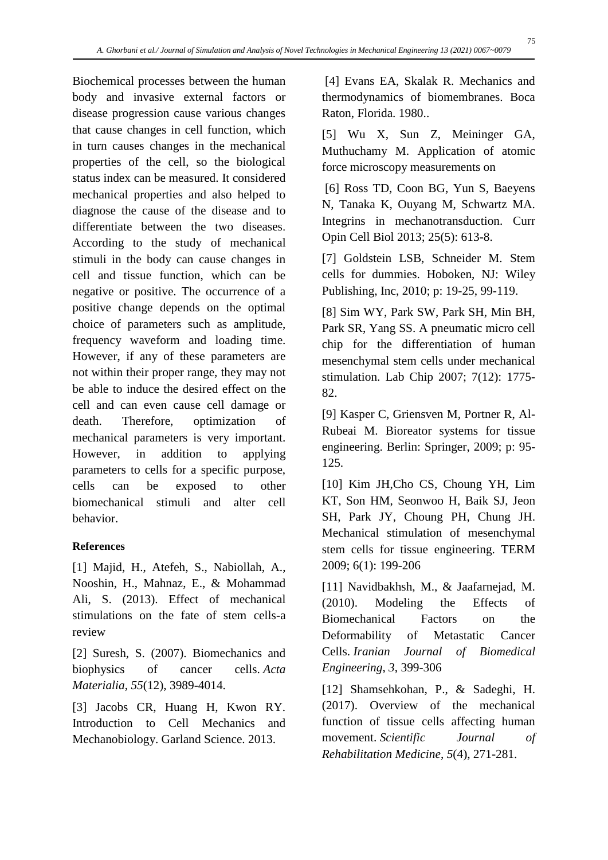Biochemical processes between the human body and invasive external factors or disease progression cause various changes that cause changes in cell function, which in turn causes changes in the mechanical properties of the cell, so the biological status index can be measured. It considered mechanical properties and also helped to diagnose the cause of the disease and to differentiate between the two diseases. According to the study of mechanical stimuli in the body can cause changes in cell and tissue function, which can be negative or positive. The occurrence of a positive change depends on the optimal choice of parameters such as amplitude, frequency waveform and loading time. However, if any of these parameters are not within their proper range, they may not be able to induce the desired effect on the cell and can even cause cell damage or death. Therefore, optimization of mechanical parameters is very important. However, in addition to applying parameters to cells for a specific purpose, cells can be exposed to other biomechanical stimuli and alter cell behavior.

### **References**

[1] Majid, H., Atefeh, S., Nabiollah, A., Nooshin, H., Mahnaz, E., & Mohammad Ali, S. (2013). Effect of mechanical stimulations on the fate of stem cells-a review

[2] Suresh, S. (2007). Biomechanics and biophysics of cancer cells. *Acta Materialia*, *55*(12), 3989-4014.

[3] Jacobs CR, Huang H, Kwon RY. Introduction to Cell Mechanics and Mechanobiology. Garland Science. 2013.

[4] Evans EA, Skalak R. Mechanics and thermodynamics of biomembranes. Boca Raton, Florida. 1980..

[5] Wu X, Sun Z, Meininger GA, Muthuchamy M. Application of atomic force microscopy measurements on

[6] Ross TD, Coon BG, Yun S, Baeyens N, Tanaka K, Ouyang M, Schwartz MA. Integrins in mechanotransduction. Curr Opin Cell Biol 2013; 25(5): 613-8.

[7] Goldstein LSB, Schneider M. Stem cells for dummies. Hoboken, NJ: Wiley Publishing, Inc, 2010; p: 19-25, 99-119.

[8] Sim WY, Park SW, Park SH, Min BH, Park SR, Yang SS. A pneumatic micro cell chip for the differentiation of human mesenchymal stem cells under mechanical stimulation. Lab Chip 2007; 7(12): 1775- 82.

[9] Kasper C, Griensven M, Portner R, Al-Rubeai M. Bioreator systems for tissue engineering. Berlin: Springer, 2009; p: 95- 125.

[10] Kim JH,Cho CS, Choung YH, Lim KT, Son HM, Seonwoo H, Baik SJ, Jeon SH, Park JY, Choung PH, Chung JH. Mechanical stimulation of mesenchymal stem cells for tissue engineering. TERM 2009; 6(1): 199-206

[11] Navidbakhsh, M., & Jaafarnejad, M. (2010). Modeling the Effects of Biomechanical Factors on the Deformability of Metastatic Cancer Cells. *Iranian Journal of Biomedical Engineering*, *3*, 399-306

[12] Shamsehkohan, P., & Sadeghi, H. (2017). Overview of the mechanical function of tissue cells affecting human movement. *Scientific Journal of Rehabilitation Medicine*, *5*(4), 271-281.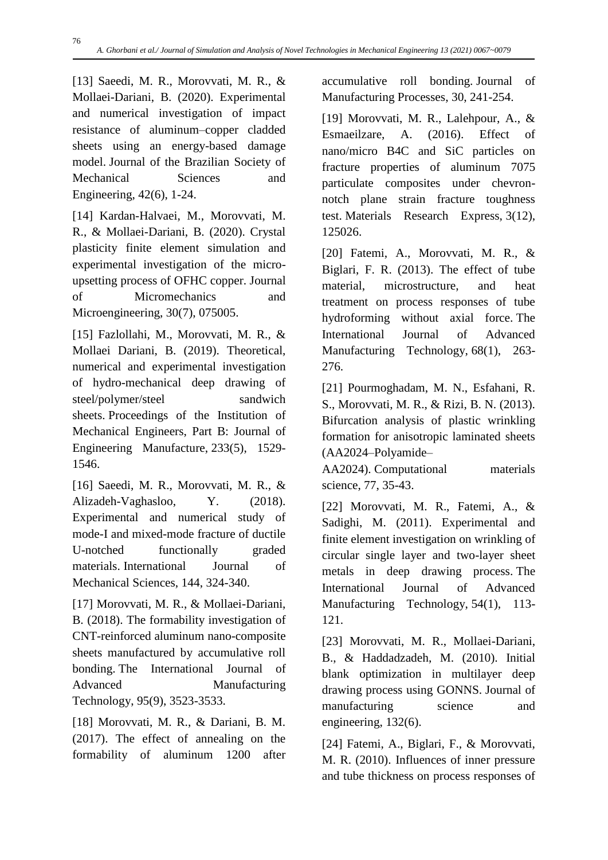[13] Saeedi, M. R., Morovvati, M. R., & Mollaei-Dariani, B. (2020). Experimental and numerical investigation of impact resistance of aluminum–copper cladded sheets using an energy-based damage model. Journal of the Brazilian Society of Mechanical Sciences and Engineering, 42(6), 1-24.

[14] Kardan-Halvaei, M., Morovvati, M. R., & Mollaei-Dariani, B. (2020). Crystal plasticity finite element simulation and experimental investigation of the microupsetting process of OFHC copper. Journal of Micromechanics and Microengineering, 30(7), 075005.

[15] Fazlollahi, M., Morovvati, M. R., & Mollaei Dariani, B. (2019). Theoretical, numerical and experimental investigation of hydro-mechanical deep drawing of steel/polymer/steel sandwich sheets. Proceedings of the Institution of Mechanical Engineers, Part B: Journal of Engineering Manufacture, 233(5), 1529- 1546.

[16] Saeedi, M. R., Morovvati, M. R., & Alizadeh-Vaghasloo, Y. (2018). Experimental and numerical study of mode-I and mixed-mode fracture of ductile U-notched functionally graded materials. International Journal of Mechanical Sciences, 144, 324-340.

[17] Morovvati, M. R., & Mollaei-Dariani, B. (2018). The formability investigation of CNT-reinforced aluminum nano-composite sheets manufactured by accumulative roll bonding. The International Journal of Advanced Manufacturing Technology, 95(9), 3523-3533.

[18] Morovvati, M. R., & Dariani, B. M. (2017). The effect of annealing on the formability of aluminum 1200 after accumulative roll bonding. Journal of Manufacturing Processes, 30, 241-254.

[19] Morovvati, M. R., Lalehpour, A., & Esmaeilzare, A. (2016). Effect of nano/micro B4C and SiC particles on fracture properties of aluminum 7075 particulate composites under chevronnotch plane strain fracture toughness test. Materials Research Express, 3(12), 125026.

[20] Fatemi, A., Morovvati, M. R., & Biglari, F. R. (2013). The effect of tube material, microstructure, and heat treatment on process responses of tube hydroforming without axial force. The International Journal of Advanced Manufacturing Technology, 68(1), 263-276.

[21] Pourmoghadam, M. N., Esfahani, R. S., Morovvati, M. R., & Rizi, B. N. (2013). Bifurcation analysis of plastic wrinkling formation for anisotropic laminated sheets (AA2024–Polyamide–

AA2024). Computational materials science, 77, 35-43.

[22] Morovvati, M. R., Fatemi, A., & Sadighi, M. (2011). Experimental and finite element investigation on wrinkling of circular single layer and two-layer sheet metals in deep drawing process. The International Journal of Advanced Manufacturing Technology, 54(1), 113-121.

[23] Morovvati, M. R., Mollaei-Dariani, B., & Haddadzadeh, M. (2010). Initial blank optimization in multilayer deep drawing process using GONNS. Journal of manufacturing science and engineering, 132(6).

[24] Fatemi, A., Biglari, F., & Morovvati, M. R. (2010). Influences of inner pressure and tube thickness on process responses of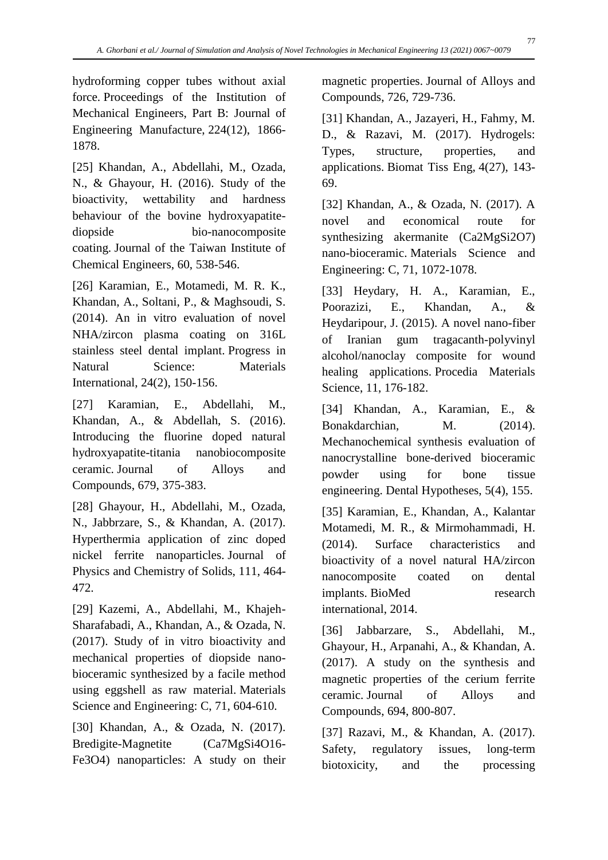hydroforming copper tubes without axial force. Proceedings of the Institution of Mechanical Engineers, Part B: Journal of Engineering Manufacture, 224(12), 1866- 1878.

[25] Khandan, A., Abdellahi, M., Ozada, N., & Ghayour, H. (2016). Study of the bioactivity, wettability and hardness behaviour of the bovine hydroxyapatitediopside bio-nanocomposite coating. Journal of the Taiwan Institute of Chemical Engineers, 60, 538-546.

[26] Karamian, E., Motamedi, M. R. K., Khandan, A., Soltani, P., & Maghsoudi, S. (2014). An in vitro evaluation of novel NHA/zircon plasma coating on 316L stainless steel dental implant. Progress in Natural Science: Materials International, 24(2), 150-156.

[27] Karamian, E., Abdellahi, M., Khandan, A., & Abdellah, S. (2016). Introducing the fluorine doped natural hydroxyapatite-titania nanobiocomposite ceramic. Journal of Alloys and Compounds, 679, 375-383.

[28] Ghayour, H., Abdellahi, M., Ozada, N., Jabbrzare, S., & Khandan, A. (2017). Hyperthermia application of zinc doped nickel ferrite nanoparticles. Journal of Physics and Chemistry of Solids, 111, 464- 472.

[29] Kazemi, A., Abdellahi, M., Khajeh-Sharafabadi, A., Khandan, A., & Ozada, N. (2017). Study of in vitro bioactivity and mechanical properties of diopside nanobioceramic synthesized by a facile method using eggshell as raw material. Materials Science and Engineering: C, 71, 604-610.

[30] Khandan, A., & Ozada, N. (2017). Bredigite-Magnetite (Ca7MgSi4O16- Fe3O4) nanoparticles: A study on their magnetic properties. Journal of Alloys and Compounds, 726, 729-736.

[31] Khandan, A., Jazayeri, H., Fahmy, M. D., & Razavi, M. (2017). Hydrogels: Types, structure, properties, and applications. Biomat Tiss Eng, 4(27), 143- 69.

[32] Khandan, A., & Ozada, N. (2017). A novel and economical route for synthesizing akermanite (Ca2MgSi2O7) nano-bioceramic. Materials Science and Engineering: C, 71, 1072-1078.

[33] Heydary, H. A., Karamian, E., Poorazizi, E., Khandan, A., & Heydaripour, J. (2015). A novel nano-fiber of Iranian gum tragacanth-polyvinyl alcohol/nanoclay composite for wound healing applications. Procedia Materials Science, 11, 176-182.

[34] Khandan, A., Karamian, E., & Bonakdarchian, M. (2014). Mechanochemical synthesis evaluation of nanocrystalline bone-derived bioceramic powder using for bone tissue engineering. Dental Hypotheses, 5(4), 155.

[35] Karamian, E., Khandan, A., Kalantar Motamedi, M. R., & Mirmohammadi, H. (2014). Surface characteristics and bioactivity of a novel natural HA/zircon nanocomposite coated on dental implants. BioMed research international, 2014.

[36] Jabbarzare, S., Abdellahi, M., Ghayour, H., Arpanahi, A., & Khandan, A. (2017). A study on the synthesis and magnetic properties of the cerium ferrite ceramic. Journal of Alloys and Compounds, 694, 800-807.

[37] Razavi, M., & Khandan, A. (2017). Safety, regulatory issues, long-term biotoxicity, and the processing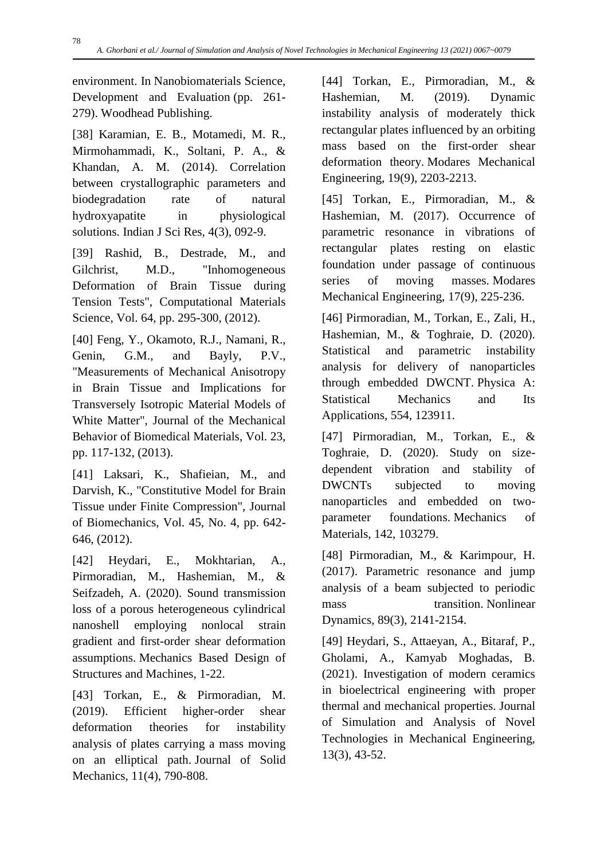environment. In Nanobiomaterials Science, Development and Evaluation (pp. 261- 279). Woodhead Publishing.

[38] Karamian, E. B., Motamedi, M. R., Mirmohammadi, K., Soltani, P. A., & Khandan, A. M. (2014). Correlation between crystallographic parameters and biodegradation rate of natural hydroxyapatite in physiological solutions. Indian J Sci Res, 4(3), 092-9.

[39] Rashid, B., Destrade, M., and Gilchrist, M.D., "Inhomogeneous Deformation of Brain Tissue during Tension Tests", Computational Materials Science, Vol. 64, pp. 295-300, (2012).

[40] Feng, Y., Okamoto, R.J., Namani, R., Genin, G.M., and Bayly, P.V., "Measurements of Mechanical Anisotropy in Brain Tissue and Implications for Transversely Isotropic Material Models of White Matter", Journal of the Mechanical Behavior of Biomedical Materials, Vol. 23, pp. 117-132, (2013).

[41] Laksari, K., Shafieian, M., and Darvish, K., "Constitutive Model for Brain Tissue under Finite Compression", Journal of Biomechanics, Vol. 45, No. 4, pp. 642- 646, (2012).

[42] Heydari, E., Mokhtarian, A., Pirmoradian, M., Hashemian, M., & Seifzadeh, A. (2020). Sound transmission loss of a porous heterogeneous cylindrical nanoshell employing nonlocal strain gradient and first-order shear deformation assumptions. Mechanics Based Design of Structures and Machines, 1-22.

[43] Torkan, E., & Pirmoradian, M. (2019). Efficient higher-order shear deformation theories for instability analysis of plates carrying a mass moving on an elliptical path. Journal of Solid Mechanics, 11(4), 790-808.

[44] Torkan, E., Pirmoradian, M., & Hashemian, M. (2019). Dynamic instability analysis of moderately thick rectangular plates influenced by an orbiting mass based on the first-order shear deformation theory. Modares Mechanical Engineering, 19(9), 2203-2213.

[45] Torkan, E., Pirmoradian, M., & Hashemian, M. (2017). Occurrence of parametric resonance in vibrations of rectangular plates resting on elastic foundation under passage of continuous series of moving masses. Modares Mechanical Engineering, 17(9), 225-236.

[46] Pirmoradian, M., Torkan, E., Zali, H., Hashemian, M., & Toghraie, D. (2020). Statistical and parametric instability analysis for delivery of nanoparticles through embedded DWCNT. Physica A: Statistical Mechanics and Its Applications, 554, 123911.

[47] Pirmoradian, M., Torkan, E., & Toghraie, D. (2020). Study on sizedependent vibration and stability of DWCNTs subjected to moving nanoparticles and embedded on twoparameter foundations. Mechanics of Materials, 142, 103279.

[48] Pirmoradian, M., & Karimpour, H. (2017). Parametric resonance and jump analysis of a beam subjected to periodic mass transition. Nonlinear Dynamics, 89(3), 2141-2154.

[49] Heydari, S., Attaeyan, A., Bitaraf, P., Gholami, A., Kamyab Moghadas, B. (2021). Investigation of modern ceramics in bioelectrical engineering with proper thermal and mechanical properties. Journal of Simulation and Analysis of Novel Technologies in Mechanical Engineering, 13(3), 43-52.